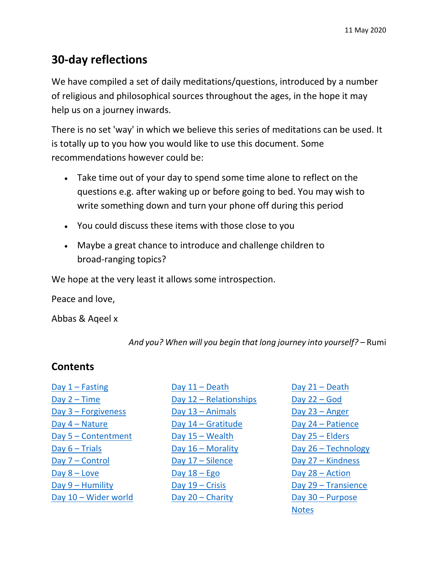# **30-day reflections**

We have compiled a set of daily meditations/questions, introduced by a number of religious and philosophical sources throughout the ages, in the hope it may help us on a journey inwards.

There is no set 'way' in which we believe this series of meditations can be used. It is totally up to you how you would like to use this document. Some recommendations however could be:

- Take time out of your day to spend some time alone to reflect on the questions e.g. after waking up or before going to bed. You may wish to write something down and turn your phone off during this period
- You could discuss these items with those close to you
- Maybe a great chance to introduce and challenge children to broad-ranging topics?

We hope at the very least it allows some introspection.

Peace and love,

Abbas & Aqeel x

*And you? When will you begin that long journey into yourself?* – Rumi

# **Contents**

| $Day 1 - Fasting$     |
|-----------------------|
| Day $2 - Time$        |
| Day $3$ – Forgiveness |
| Day $4 - Nature$      |
| Day 5 - Contentment   |
| Day $6$ – Trials      |
| Day 7 – Control       |
| Day $8 -$ Love        |
| $Day 9 - Humility$    |
| Day 10 - Wider world  |

[Day 11](#page-11-0) – Death Day 12 – [Relationships](#page-12-0) Day 13 - [Animals](#page-13-0) Day 14 – [Gratitude](#page-14-0) [Day 15](#page-15-0) – Wealth Day 16 – [Morality](#page-16-0) [Day 17](#page-17-0) – Silence Day  $18 - Ego$ [Day 19](#page-19-0) – Crisis [Day 20](#page-20-0) – Charity

<span id="page-0-0"></span>[Day 21](#page-21-0) – Death [Day 22](#page-22-0) – God [Day 23](#page-23-0) – Anger Day 24 – [Patience](#page-24-0) [Day 25](#page-25-0) – Elders Day 26 – [Technology](#page-26-0) Day 27 – [Kindness](#page-27-0) [Day 28](#page-28-0) – Action Day 29 – [Transience](#page-28-1) Day 30 – [Purpose](#page-30-0) [Notes](#page-31-0)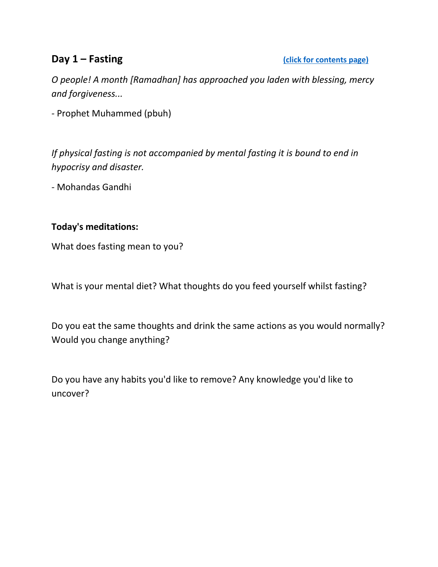<span id="page-1-0"></span>**Day 1 – Fasting Click for contents page)** 

*O people! A month [Ramadhan] has approached you laden with blessing, mercy and forgiveness...* 

*-* Prophet Muhammed (pbuh)

*If physical fasting is not accompanied by mental fasting it is bound to end in hypocrisy and disaster.* 

*-* Mohandas Gandhi

### **Today's meditations:**

What does fasting mean to you?

What is your mental diet? What thoughts do you feed yourself whilst fasting?

Do you eat the same thoughts and drink the same actions as you would normally? Would you change anything?

Do you have any habits you'd like to remove? Any knowledge you'd like to uncover?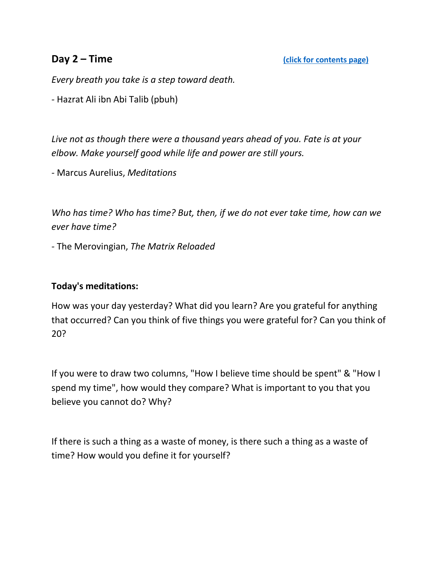<span id="page-2-0"></span>*Every breath you take is a step toward death.* 

*-* Hazrat Ali ibn Abi Talib (pbuh)

*Live not as though there were a thousand years ahead of you. Fate is at your elbow. Make yourself good while life and power are still yours.* 

*-* Marcus Aurelius, *Meditations*

*Who has time? Who has time? But, then, if we do not ever take time, how can we ever have time?* 

*-* The Merovingian, *The Matrix Reloaded*

### **Today's meditations:**

How was your day yesterday? What did you learn? Are you grateful for anything that occurred? Can you think of five things you were grateful for? Can you think of 20?

If you were to draw two columns, "How I believe time should be spent" & "How I spend my time", how would they compare? What is important to you that you believe you cannot do? Why?

If there is such a thing as a waste of money, is there such a thing as a waste of time? How would you define it for yourself?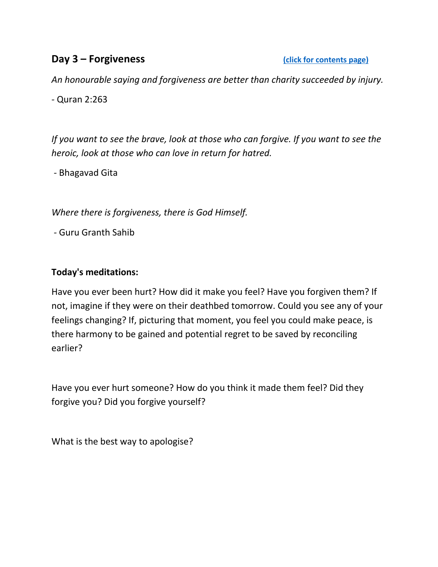# <span id="page-3-0"></span>**Day 3 – Forgiveness Contents page)**

*An honourable saying and forgiveness are better than charity succeeded by injury.*

*-* Quran 2:263

*If you want to see the brave, look at those who can forgive. If you want to see the heroic, look at those who can love in return for hatred.*

*-* Bhagavad Gita

*Where there is forgiveness, there is God Himself.*

*-* Guru Granth Sahib

## **Today's meditations:**

Have you ever been hurt? How did it make you feel? Have you forgiven them? If not, imagine if they were on their deathbed tomorrow. Could you see any of your feelings changing? If, picturing that moment, you feel you could make peace, is there harmony to be gained and potential regret to be saved by reconciling earlier?

Have you ever hurt someone? How do you think it made them feel? Did they forgive you? Did you forgive yourself?

What is the best way to apologise?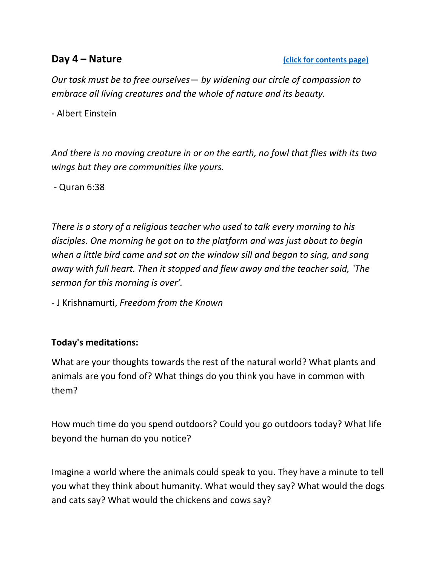<span id="page-4-0"></span>*Our task must be to free ourselves— by widening our circle of compassion to embrace all living creatures and the whole of nature and its beauty.* 

*-* Albert Einstein

*And there is no moving creature in or on the earth, no fowl that flies with its two wings but they are communities like yours.*

*-* Quran 6:38

*There is a story of a religious teacher who used to talk every morning to his disciples. One morning he got on to the platform and was just about to begin when a little bird came and sat on the window sill and began to sing, and sang away with full heart. Then it stopped and flew away and the teacher said, `The sermon for this morning is over'.*

- J Krishnamurti, *Freedom from the Known*

### **Today's meditations:**

What are your thoughts towards the rest of the natural world? What plants and animals are you fond of? What things do you think you have in common with them?

How much time do you spend outdoors? Could you go outdoors today? What life beyond the human do you notice?

Imagine a world where the animals could speak to you. They have a minute to tell you what they think about humanity. What would they say? What would the dogs and cats say? What would the chickens and cows say?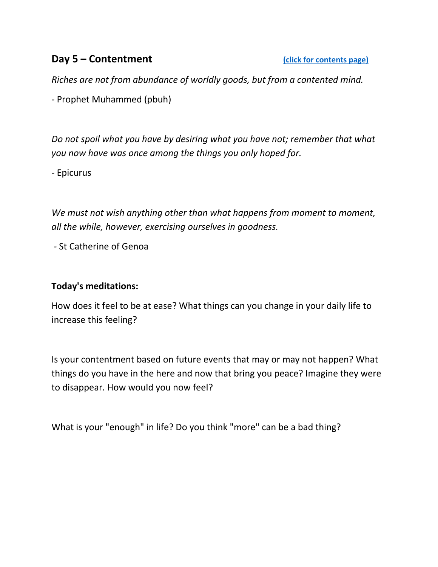# <span id="page-5-0"></span>**Day 5 – Contentment Contentment [\(click for contents page\)](#page-0-0)**

*Riches are not from abundance of worldly goods, but from a contented mind.* 

*-* Prophet Muhammed (pbuh)

*Do not spoil what you have by desiring what you have not; remember that what you now have was once among the things you only hoped for.* 

*-* Epicurus

*We must not wish anything other than what happens from moment to moment, all the while, however, exercising ourselves in goodness.*

*-* St Catherine of Genoa

### **Today's meditations:**

How does it feel to be at ease? What things can you change in your daily life to increase this feeling?

Is your contentment based on future events that may or may not happen? What things do you have in the here and now that bring you peace? Imagine they were to disappear. How would you now feel?

What is your "enough" in life? Do you think "more" can be a bad thing?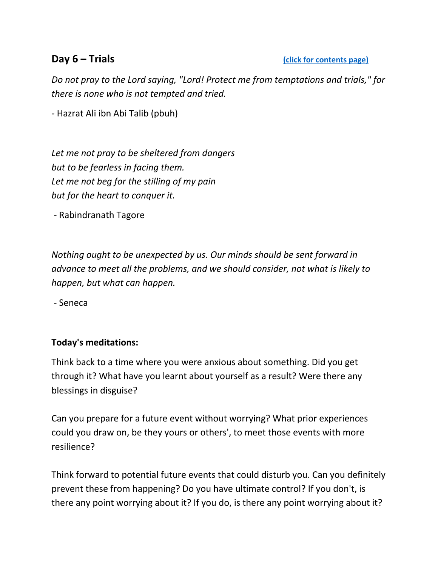<span id="page-6-0"></span>**Day 6 – Trials [\(click for contents page\)](#page-0-0)**

*Do not pray to the Lord saying, "Lord! Protect me from temptations and trials," for there is none who is not tempted and tried.* 

*-* Hazrat Ali ibn Abi Talib (pbuh)

*Let me not pray to be sheltered from dangers but to be fearless in facing them. Let me not beg for the stilling of my pain but for the heart to conquer it.*

*-* Rabindranath Tagore

*Nothing ought to be unexpected by us. Our minds should be sent forward in advance to meet all the problems, and we should consider, not what is likely to happen, but what can happen.*

*-* Seneca

### **Today's meditations:**

Think back to a time where you were anxious about something. Did you get through it? What have you learnt about yourself as a result? Were there any blessings in disguise?

Can you prepare for a future event without worrying? What prior experiences could you draw on, be they yours or others', to meet those events with more resilience?

Think forward to potential future events that could disturb you. Can you definitely prevent these from happening? Do you have ultimate control? If you don't, is there any point worrying about it? If you do, is there any point worrying about it?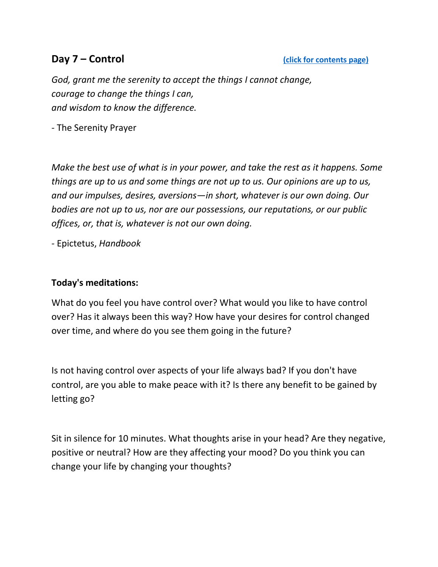<span id="page-7-0"></span>*God, grant me the serenity to accept the things I cannot change, courage to change the things I can, and wisdom to know the difference.* 

*-* The Serenity Prayer

*Make the best use of what is in your power, and take the rest as it happens. Some things are up to us and some things are not up to us. Our opinions are up to us, and our impulses, desires, aversions—in short, whatever is our own doing. Our bodies are not up to us, nor are our possessions, our reputations, or our public offices, or, that is, whatever is not our own doing.* 

*-* Epictetus, *Handbook*

### **Today's meditations:**

What do you feel you have control over? What would you like to have control over? Has it always been this way? How have your desires for control changed over time, and where do you see them going in the future?

Is not having control over aspects of your life always bad? If you don't have control, are you able to make peace with it? Is there any benefit to be gained by letting go?

Sit in silence for 10 minutes. What thoughts arise in your head? Are they negative, positive or neutral? How are they affecting your mood? Do you think you can change your life by changing your thoughts?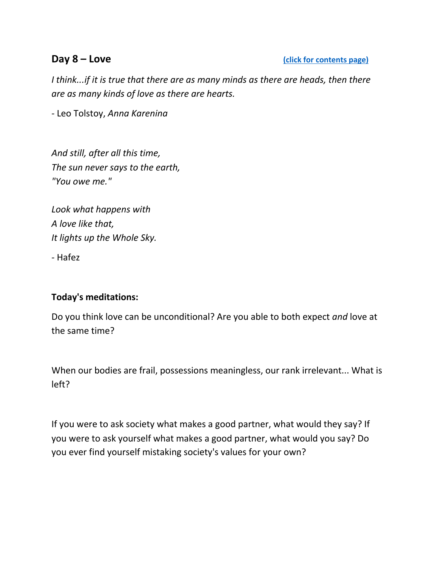<span id="page-8-0"></span>*I think...if it is true that there are as many minds as there are heads, then there are as many kinds of love as there are hearts.* 

*-* Leo Tolstoy, *Anna Karenina*

*And still, after all this time, The sun never says to the earth, "You owe me."*

*Look what happens with A love like that, It lights up the Whole Sky.* 

*-* Hafez

# **Today's meditations:**

Do you think love can be unconditional? Are you able to both expect *and* love at the same time?

When our bodies are frail, possessions meaningless, our rank irrelevant... What is left?

If you were to ask society what makes a good partner, what would they say? If you were to ask yourself what makes a good partner, what would you say? Do you ever find yourself mistaking society's values for your own?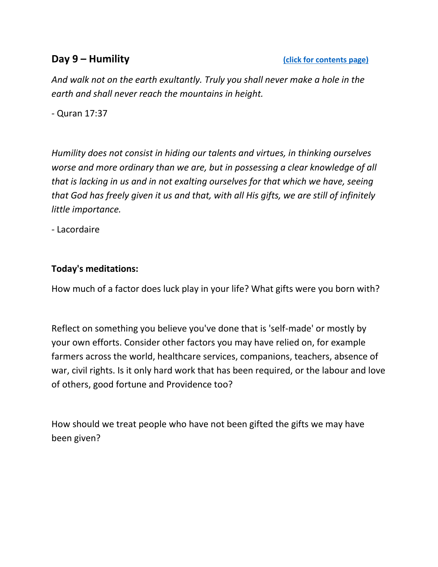<span id="page-9-0"></span>*And walk not on the earth exultantly. Truly you shall never make a hole in the earth and shall never reach the mountains in height.* 

*-* Quran 17:37

*Humility does not consist in hiding our talents and virtues, in thinking ourselves worse and more ordinary than we are, but in possessing a clear knowledge of all that is lacking in us and in not exalting ourselves for that which we have, seeing that God has freely given it us and that, with all His gifts, we are still of infinitely little importance.* 

*-* Lacordaire

## **Today's meditations:**

How much of a factor does luck play in your life? What gifts were you born with?

Reflect on something you believe you've done that is 'self-made' or mostly by your own efforts. Consider other factors you may have relied on, for example farmers across the world, healthcare services, companions, teachers, absence of war, civil rights. Is it only hard work that has been required, or the labour and love of others, good fortune and Providence too?

How should we treat people who have not been gifted the gifts we may have been given?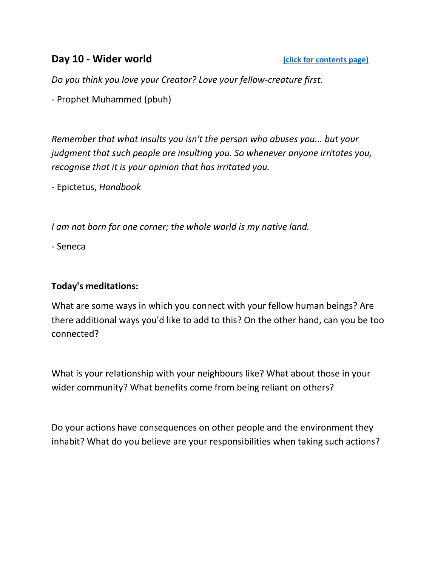# <span id="page-10-0"></span>**Day 10 - Wider world Contents [\(click for contents page\)](#page-0-0)**

*Do you think you love your Creator? Love your fellow-creature first.* 

*-* Prophet Muhammed (pbuh)

*Remember that what insults you isn't the person who abuses you... but your judgment that such people are insulting you. So whenever anyone irritates you, recognise that it is your opinion that has irritated you.*

- Epictetus, *Handbook*

*I am not born for one corner; the whole world is my native land.*

- Seneca

## **Today's meditations:**

What are some ways in which you connect with your fellow human beings? Are there additional ways you'd like to add to this? On the other hand, can you be too connected?

What is your relationship with your neighbours like? What about those in your wider community? What benefits come from being reliant on others?

Do your actions have consequences on other people and the environment they inhabit? What do you believe are your responsibilities when taking such actions?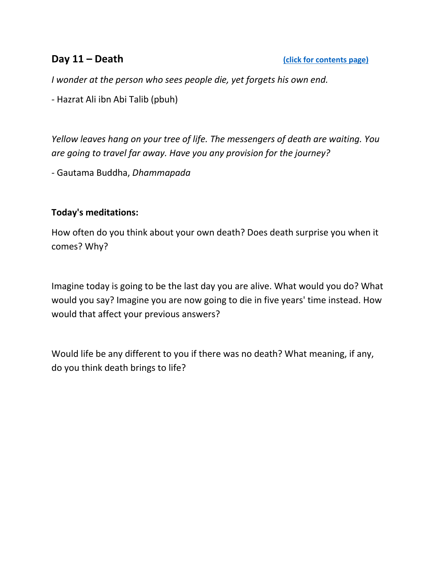<span id="page-11-0"></span>*I wonder at the person who sees people die, yet forgets his own end.* 

*-* Hazrat Ali ibn Abi Talib (pbuh)

*Yellow leaves hang on your tree of life. The messengers of death are waiting. You are going to travel far away. Have you any provision for the journey?* 

*-* Gautama Buddha, *Dhammapada*

## **Today's meditations:**

How often do you think about your own death? Does death surprise you when it comes? Why?

Imagine today is going to be the last day you are alive. What would you do? What would you say? Imagine you are now going to die in five years' time instead. How would that affect your previous answers?

Would life be any different to you if there was no death? What meaning, if any, do you think death brings to life?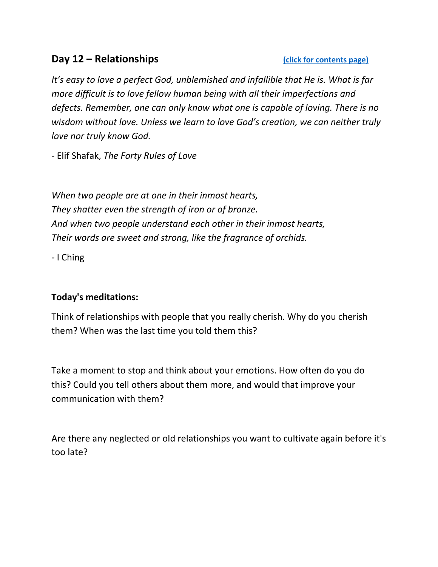# <span id="page-12-0"></span>**Day 12 – Relationships Contents page)**

*It's easy to love a perfect God, unblemished and infallible that He is. What is far more difficult is to love fellow human being with all their imperfections and defects. Remember, one can only know what one is capable of loving. There is no wisdom without love. Unless we learn to love God's creation, we can neither truly love nor truly know God.*

- Elif Shafak, *The Forty Rules of Love*

*When two people are at one in their inmost hearts, They shatter even the strength of iron or of bronze. And when two people understand each other in their inmost hearts, Their words are sweet and strong, like the fragrance of orchids.* 

*-* I Ching

# **Today's meditations:**

Think of relationships with people that you really cherish. Why do you cherish them? When was the last time you told them this?

Take a moment to stop and think about your emotions. How often do you do this? Could you tell others about them more, and would that improve your communication with them?

Are there any neglected or old relationships you want to cultivate again before it's too late?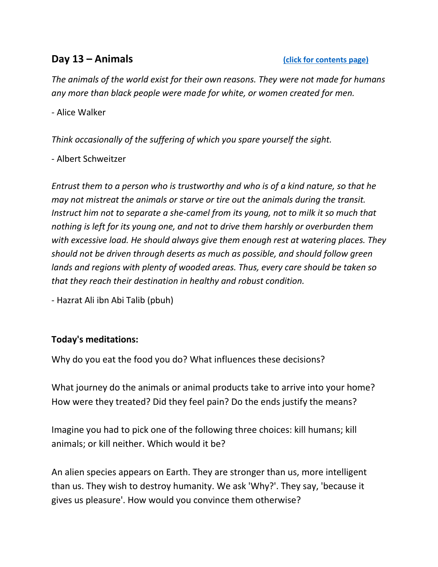### <span id="page-13-0"></span>**Day 13 – Animals Contents page)**

*The animals of the world exist for their own reasons. They were not made for humans any more than black people were made for white, or women created for men.* 

*-* Alice Walker

*Think occasionally of the suffering of which you spare yourself the sight.*

- Albert Schweitzer

*Entrust them to a person who is trustworthy and who is of a kind nature, so that he may not mistreat the animals or starve or tire out the animals during the transit. Instruct him not to separate a she-camel from its young, not to milk it so much that nothing is left for its young one, and not to drive them harshly or overburden them with excessive load. He should always give them enough rest at watering places. They should not be driven through deserts as much as possible, and should follow green lands and regions with plenty of wooded areas. Thus, every care should be taken so that they reach their destination in healthy and robust condition.*

- Hazrat Ali ibn Abi Talib (pbuh)

### **Today's meditations:**

Why do you eat the food you do? What influences these decisions?

What journey do the animals or animal products take to arrive into your home? How were they treated? Did they feel pain? Do the ends justify the means?

Imagine you had to pick one of the following three choices: kill humans; kill animals; or kill neither. Which would it be?

An alien species appears on Earth. They are stronger than us, more intelligent than us. They wish to destroy humanity. We ask 'Why?'. They say, 'because it gives us pleasure'. How would you convince them otherwise?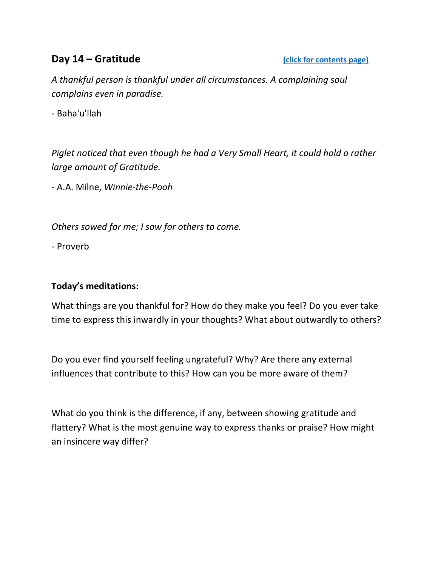# <span id="page-14-0"></span>**Day 14 – Gratitude Contents page)**

*A thankful person is thankful under all circumstances. A complaining soul complains even in paradise.*

- Baha'u'llah

*Piglet noticed that even though he had a Very Small Heart, it could hold a rather large amount of Gratitude.*

- A.A. Milne, *Winnie-the-Pooh*

*Others sowed for me; I sow for others to come.*

- Proverb

# **Today's meditations:**

What things are you thankful for? How do they make you feel? Do you ever take time to express this inwardly in your thoughts? What about outwardly to others?

Do you ever find yourself feeling ungrateful? Why? Are there any external influences that contribute to this? How can you be more aware of them?

What do you think is the difference, if any, between showing gratitude and flattery? What is the most genuine way to express thanks or praise? How might an insincere way differ?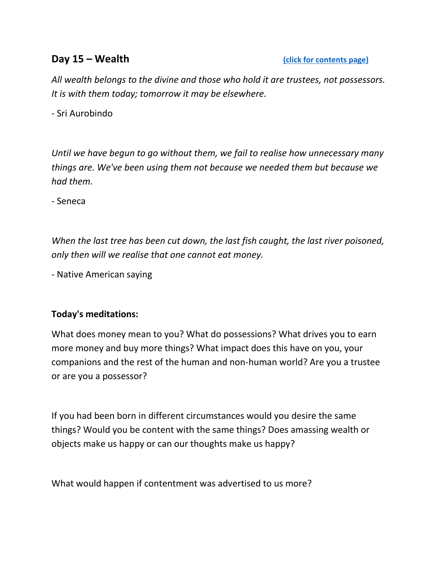# <span id="page-15-0"></span>**Day 15 – Wealth [\(click for contents page\)](#page-0-0)**

*All wealth belongs to the divine and those who hold it are trustees, not possessors. It is with them today; tomorrow it may be elsewhere.* 

*-* Sri Aurobindo

*Until we have begun to go without them, we fail to realise how unnecessary many things are. We've been using them not because we needed them but because we had them.*

- Seneca

*When the last tree has been cut down, the last fish caught, the last river poisoned, only then will we realise that one cannot eat money.* 

*-* Native American saying

# **Today's meditations:**

What does money mean to you? What do possessions? What drives you to earn more money and buy more things? What impact does this have on you, your companions and the rest of the human and non-human world? Are you a trustee or are you a possessor?

If you had been born in different circumstances would you desire the same things? Would you be content with the same things? Does amassing wealth or objects make us happy or can our thoughts make us happy?

What would happen if contentment was advertised to us more?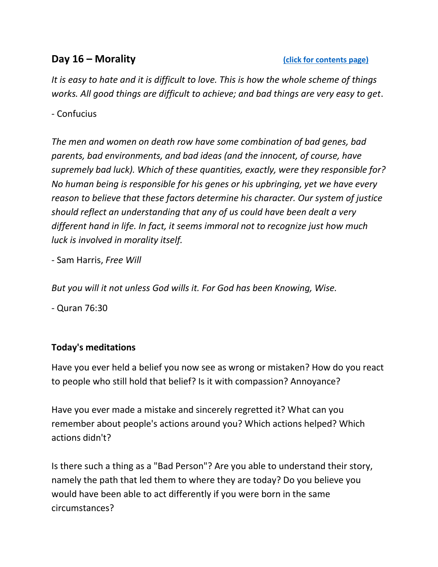# <span id="page-16-0"></span>**Day 16 – Morality Contents page)**

*It is easy to hate and it is difficult to love. This is how the whole scheme of things works. All good things are difficult to achieve; and bad things are very easy to get*.

# - Confucius

*The men and women on death row have some combination of bad genes, bad parents, bad environments, and bad ideas (and the innocent, of course, have supremely bad luck). Which of these quantities, exactly, were they responsible for? No human being is responsible for his genes or his upbringing, yet we have every reason to believe that these factors determine his character. Our system of justice should reflect an understanding that any of us could have been dealt a very different hand in life. In fact, it seems immoral not to recognize just how much luck is involved in morality itself.*

- Sam Harris, *Free Will*

*But you will it not unless God wills it. For God has been Knowing, Wise.*

- Quran 76:30

# **Today's meditations**

Have you ever held a belief you now see as wrong or mistaken? How do you react to people who still hold that belief? Is it with compassion? Annoyance?

Have you ever made a mistake and sincerely regretted it? What can you remember about people's actions around you? Which actions helped? Which actions didn't?

Is there such a thing as a "Bad Person"? Are you able to understand their story, namely the path that led them to where they are today? Do you believe you would have been able to act differently if you were born in the same circumstances?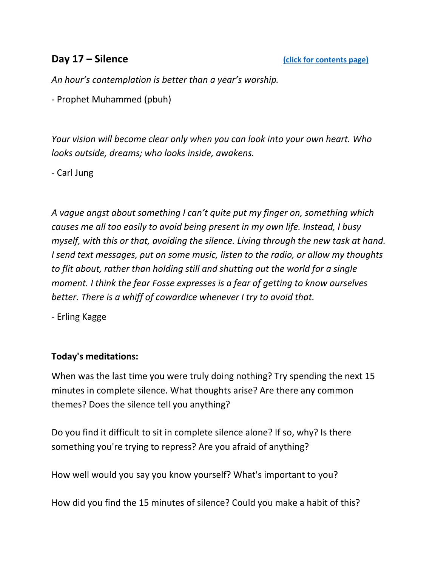<span id="page-17-0"></span>*An hour's contemplation is better than a year's worship.* 

*-* Prophet Muhammed (pbuh)

*Your vision will become clear only when you can look into your own heart. Who looks outside, dreams; who looks inside, awakens.* 

*-* Carl Jung

*A vague angst about something I can't quite put my finger on, something which causes me all too easily to avoid being present in my own life. Instead, I busy myself, with this or that, avoiding the silence. Living through the new task at hand. I send text messages, put on some music, listen to the radio, or allow my thoughts to flit about, rather than holding still and shutting out the world for a single moment. I think the fear Fosse expresses is a fear of getting to know ourselves better. There is a whiff of cowardice whenever I try to avoid that.* 

*-* Erling Kagge

# **Today's meditations:**

When was the last time you were truly doing nothing? Try spending the next 15 minutes in complete silence. What thoughts arise? Are there any common themes? Does the silence tell you anything?

Do you find it difficult to sit in complete silence alone? If so, why? Is there something you're trying to repress? Are you afraid of anything?

How well would you say you know yourself? What's important to you?

How did you find the 15 minutes of silence? Could you make a habit of this?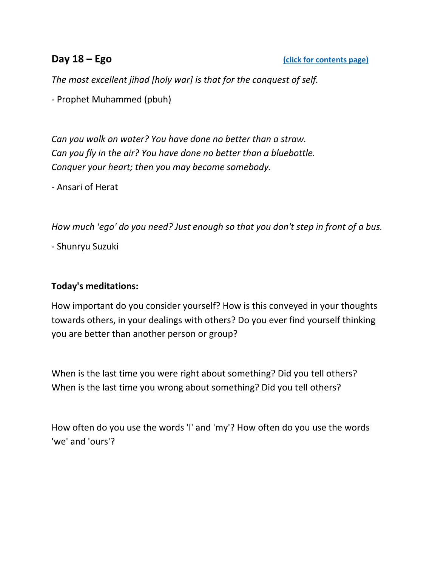<span id="page-18-0"></span>*The most excellent jihad [holy war] is that for the conquest of self.* 

*-* Prophet Muhammed (pbuh)

*Can you walk on water? You have done no better than a straw. Can you fly in the air? You have done no better than a bluebottle. Conquer your heart; then you may become somebody.* 

*-* Ansari of Herat

*How much 'ego' do you need? Just enough so that you don't step in front of a bus.*

- Shunryu Suzuki

### **Today's meditations:**

How important do you consider yourself? How is this conveyed in your thoughts towards others, in your dealings with others? Do you ever find yourself thinking you are better than another person or group?

When is the last time you were right about something? Did you tell others? When is the last time you wrong about something? Did you tell others?

How often do you use the words 'I' and 'my'? How often do you use the words 'we' and 'ours'?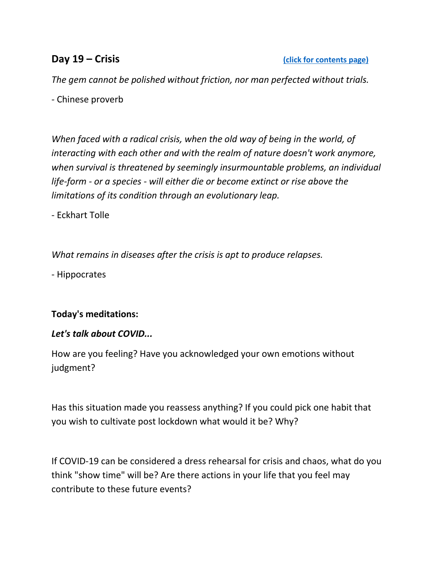<span id="page-19-0"></span>*The gem cannot be polished without friction, nor man perfected without trials.* 

*-* Chinese proverb

*When faced with a radical crisis, when the old way of being in the world, of interacting with each other and with the realm of nature doesn't work anymore, when survival is threatened by seemingly insurmountable problems, an individual life-form - or a species - will either die or become extinct or rise above the limitations of its condition through an evolutionary leap.*

- Eckhart Tolle

*What remains in diseases after the crisis is apt to produce relapses.*

- Hippocrates

# **Today's meditations:**

# *Let's talk about COVID...*

How are you feeling? Have you acknowledged your own emotions without judgment?

Has this situation made you reassess anything? If you could pick one habit that you wish to cultivate post lockdown what would it be? Why?

If COVID-19 can be considered a dress rehearsal for crisis and chaos, what do you think "show time" will be? Are there actions in your life that you feel may contribute to these future events?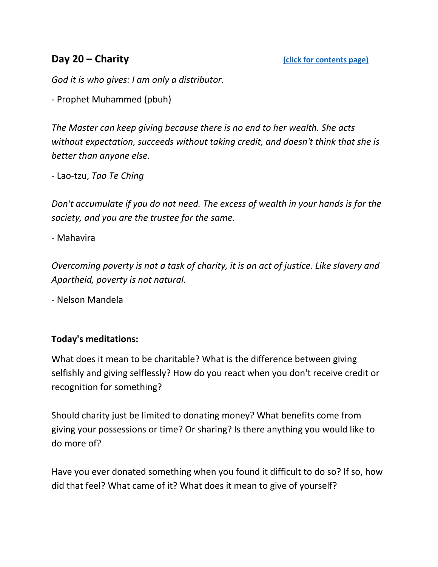<span id="page-20-0"></span>*God it is who gives: I am only a distributor.*

*-* Prophet Muhammed (pbuh)

*The Master can keep giving because there is no end to her wealth. She acts without expectation, succeeds without taking credit, and doesn't think that she is better than anyone else.*

- Lao-tzu, *Tao Te Ching*

*Don't accumulate if you do not need. The excess of wealth in your hands is for the society, and you are the trustee for the same.* 

*-* Mahavira

*Overcoming poverty is not a task of charity, it is an act of justice. Like slavery and Apartheid, poverty is not natural.*

- Nelson Mandela

### **Today's meditations:**

What does it mean to be charitable? What is the difference between giving selfishly and giving selflessly? How do you react when you don't receive credit or recognition for something?

Should charity just be limited to donating money? What benefits come from giving your possessions or time? Or sharing? Is there anything you would like to do more of?

Have you ever donated something when you found it difficult to do so? If so, how did that feel? What came of it? What does it mean to give of yourself?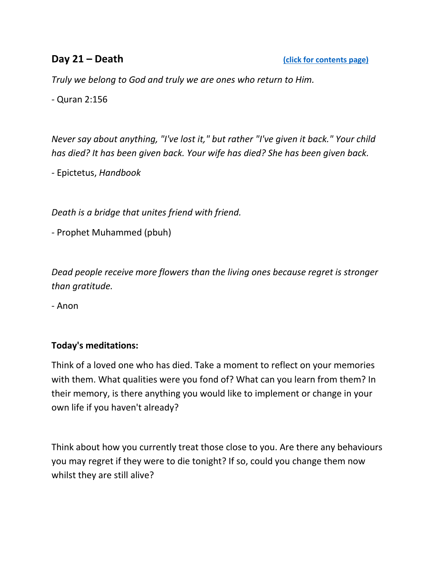<span id="page-21-0"></span>*Truly we belong to God and truly we are ones who return to Him.* 

*-* Quran 2:156

*Never say about anything, "I've lost it," but rather "I've given it back." Your child has died? It has been given back. Your wife has died? She has been given back.* 

*-* Epictetus, *Handbook*

*Death is a bridge that unites friend with friend.* 

*-* Prophet Muhammed (pbuh)

*Dead people receive more flowers than the living ones because regret is stronger than gratitude.*

- Anon

### **Today's meditations:**

Think of a loved one who has died. Take a moment to reflect on your memories with them. What qualities were you fond of? What can you learn from them? In their memory, is there anything you would like to implement or change in your own life if you haven't already?

Think about how you currently treat those close to you. Are there any behaviours you may regret if they were to die tonight? If so, could you change them now whilst they are still alive?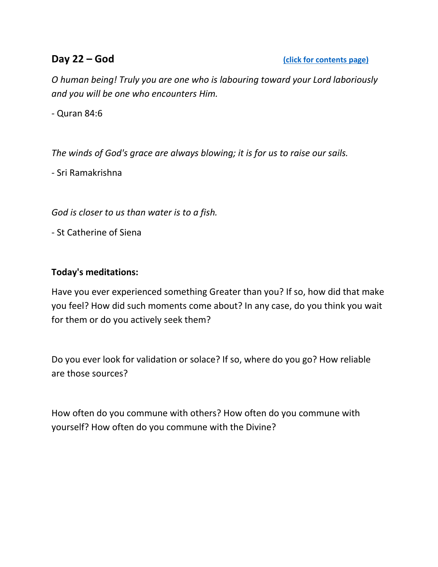<span id="page-22-0"></span>*O human being! Truly you are one who is labouring toward your Lord laboriously and you will be one who encounters Him.* 

*-* Quran 84:6

*The winds of God's grace are always blowing; it is for us to raise our sails.* 

*-* Sri Ramakrishna

*God is closer to us than water is to a fish.* 

*-* St Catherine of Siena

### **Today's meditations:**

Have you ever experienced something Greater than you? If so, how did that make you feel? How did such moments come about? In any case, do you think you wait for them or do you actively seek them?

Do you ever look for validation or solace? If so, where do you go? How reliable are those sources?

How often do you commune with others? How often do you commune with yourself? How often do you commune with the Divine?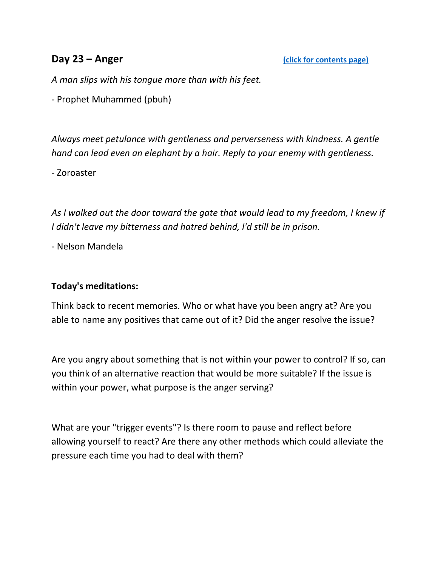<span id="page-23-0"></span>*A man slips with his tongue more than with his feet.* 

*-* Prophet Muhammed (pbuh)

*Always meet petulance with gentleness and perverseness with kindness. A gentle hand can lead even an elephant by a hair. Reply to your enemy with gentleness.*

- Zoroaster

As I walked out the door toward the gate that would lead to my freedom, I knew if *I didn't leave my bitterness and hatred behind, I'd still be in prison.*

- Nelson Mandela

### **Today's meditations:**

Think back to recent memories. Who or what have you been angry at? Are you able to name any positives that came out of it? Did the anger resolve the issue?

Are you angry about something that is not within your power to control? If so, can you think of an alternative reaction that would be more suitable? If the issue is within your power, what purpose is the anger serving?

What are your "trigger events"? Is there room to pause and reflect before allowing yourself to react? Are there any other methods which could alleviate the pressure each time you had to deal with them?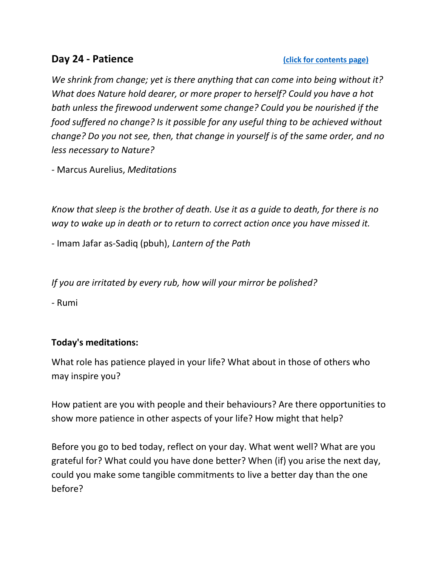<span id="page-24-0"></span>*We shrink from change; yet is there anything that can come into being without it? What does Nature hold dearer, or more proper to herself? Could you have a hot bath unless the firewood underwent some change? Could you be nourished if the food suffered no change? Is it possible for any useful thing to be achieved without change? Do you not see, then, that change in yourself is of the same order, and no less necessary to Nature?* 

*-* Marcus Aurelius, *Meditations*

*Know that sleep is the brother of death. Use it as a guide to death, for there is no way to wake up in death or to return to correct action once you have missed it.* 

*-* Imam Jafar as-Sadiq (pbuh), *Lantern of the Path*

*If you are irritated by every rub, how will your mirror be polished?* 

*-* Rumi

# **Today's meditations:**

What role has patience played in your life? What about in those of others who may inspire you?

How patient are you with people and their behaviours? Are there opportunities to show more patience in other aspects of your life? How might that help?

Before you go to bed today, reflect on your day. What went well? What are you grateful for? What could you have done better? When (if) you arise the next day, could you make some tangible commitments to live a better day than the one before?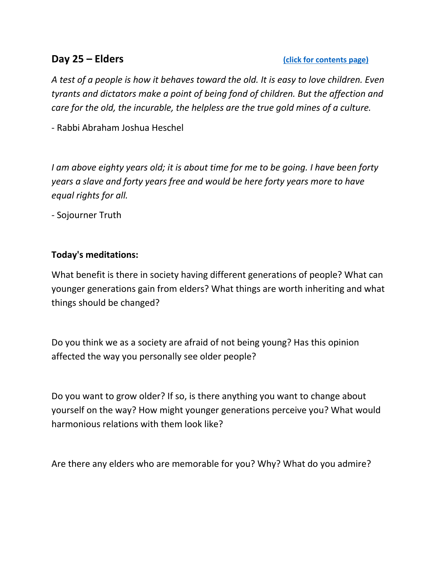## <span id="page-25-0"></span>**Day 25 – Elders [\(click for contents page\)](#page-0-0)**

*A test of a people is how it behaves toward the old. It is easy to love children. Even tyrants and dictators make a point of being fond of children. But the affection and care for the old, the incurable, the helpless are the true gold mines of a culture.*

- Rabbi Abraham Joshua Heschel

*I am above eighty years old; it is about time for me to be going. I have been forty years a slave and forty years free and would be here forty years more to have equal rights for all.* 

*-* Sojourner Truth

## **Today's meditations:**

What benefit is there in society having different generations of people? What can younger generations gain from elders? What things are worth inheriting and what things should be changed?

Do you think we as a society are afraid of not being young? Has this opinion affected the way you personally see older people?

Do you want to grow older? If so, is there anything you want to change about yourself on the way? How might younger generations perceive you? What would harmonious relations with them look like?

Are there any elders who are memorable for you? Why? What do you admire?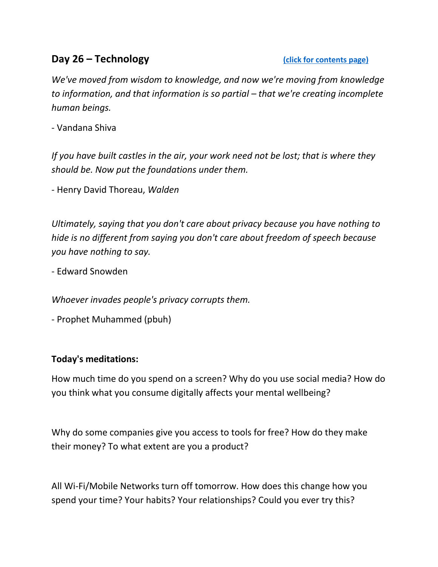# <span id="page-26-0"></span>**Day 26 – Technology** *Click for contents page)*

*We've moved from wisdom to knowledge, and now we're moving from knowledge to information, and that information is so partial – that we're creating incomplete human beings.*

- Vandana Shiva

*If you have built castles in the air, your work need not be lost; that is where they should be. Now put the foundations under them.*

- Henry David Thoreau, *Walden*

*Ultimately, saying that you don't care about privacy because you have nothing to hide is no different from saying you don't care about freedom of speech because you have nothing to say.*

- Edward Snowden

*Whoever invades people's privacy corrupts them.* 

- Prophet Muhammed (pbuh)

# **Today's meditations:**

How much time do you spend on a screen? Why do you use social media? How do you think what you consume digitally affects your mental wellbeing?

Why do some companies give you access to tools for free? How do they make their money? To what extent are you a product?

All Wi-Fi/Mobile Networks turn off tomorrow. How does this change how you spend your time? Your habits? Your relationships? Could you ever try this?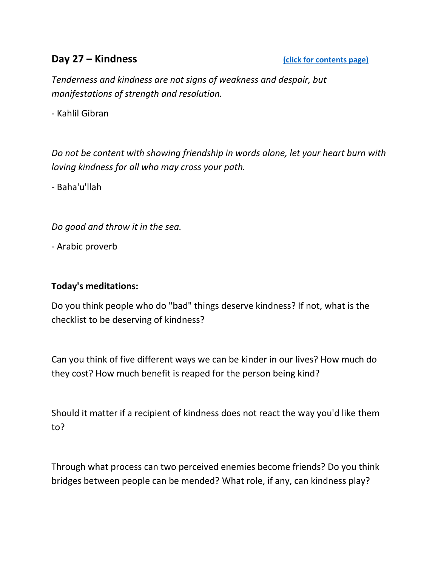# <span id="page-27-0"></span>**Day 27 – Kindness Contents page)**

*Tenderness and kindness are not signs of weakness and despair, but manifestations of strength and resolution.*

- Kahlil Gibran

*Do not be content with showing friendship in words alone, let your heart burn with loving kindness for all who may cross your path.*

- Baha'u'llah

*Do good and throw it in the sea.*

- Arabic proverb

## **Today's meditations:**

Do you think people who do "bad" things deserve kindness? If not, what is the checklist to be deserving of kindness?

Can you think of five different ways we can be kinder in our lives? How much do they cost? How much benefit is reaped for the person being kind?

Should it matter if a recipient of kindness does not react the way you'd like them to?

Through what process can two perceived enemies become friends? Do you think bridges between people can be mended? What role, if any, can kindness play?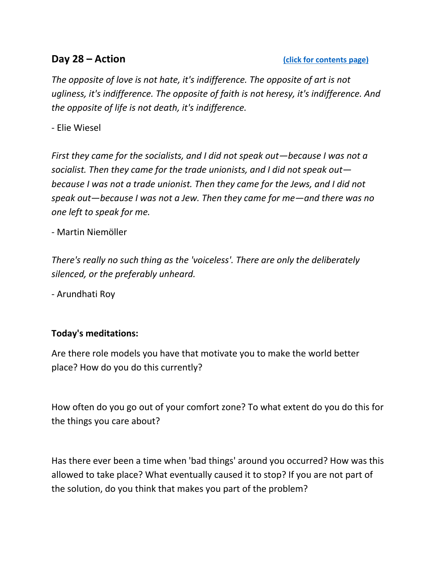### <span id="page-28-0"></span>**Day 28 – Action Contents page**)

*The opposite of love is not hate, it's indifference. The opposite of art is not ugliness, it's indifference. The opposite of faith is not heresy, it's indifference. And the opposite of life is not death, it's indifference.* 

- Elie Wiesel

*First they came for the socialists, and I did not speak out—because I was not a socialist. Then they came for the trade unionists, and I did not speak out because I was not a trade unionist. Then they came for the Jews, and I did not speak out—because I was not a Jew. Then they came for me—and there was no one left to speak for me.* 

- Martin Niemöller

*There's really no such thing as the 'voiceless'. There are only the deliberately silenced, or the preferably unheard.*

- Arundhati Roy

# **Today's meditations:**

Are there role models you have that motivate you to make the world better place? How do you do this currently?

How often do you go out of your comfort zone? To what extent do you do this for the things you care about?

<span id="page-28-1"></span>Has there ever been a time when 'bad things' around you occurred? How was this allowed to take place? What eventually caused it to stop? If you are not part of the solution, do you think that makes you part of the problem?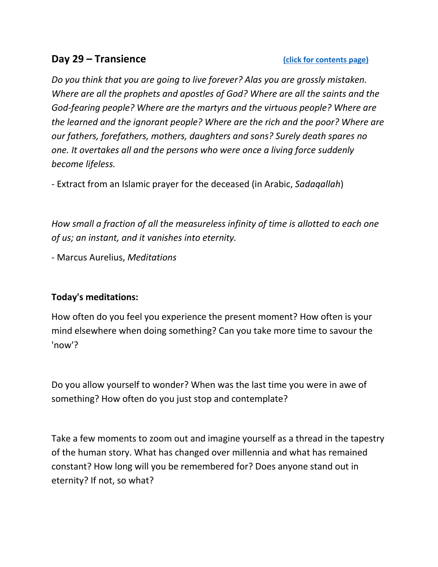# **Day 29 – Transience** *Click for contents page*

*Do you think that you are going to live forever? Alas you are grossly mistaken. Where are all the prophets and apostles of God? Where are all the saints and the God-fearing people? Where are the martyrs and the virtuous people? Where are the learned and the ignorant people? Where are the rich and the poor? Where are our fathers, forefathers, mothers, daughters and sons? Surely death spares no one. It overtakes all and the persons who were once a living force suddenly become lifeless.* 

*-* Extract from an Islamic prayer for the deceased (in Arabic, *Sadaqallah*)

*How small a fraction of all the measureless infinity of time is allotted to each one of us; an instant, and it vanishes into eternity.* 

*-* Marcus Aurelius, *Meditations*

### **Today's meditations:**

How often do you feel you experience the present moment? How often is your mind elsewhere when doing something? Can you take more time to savour the 'now'?

Do you allow yourself to wonder? When was the last time you were in awe of something? How often do you just stop and contemplate?

Take a few moments to zoom out and imagine yourself as a thread in the tapestry of the human story. What has changed over millennia and what has remained constant? How long will you be remembered for? Does anyone stand out in eternity? If not, so what?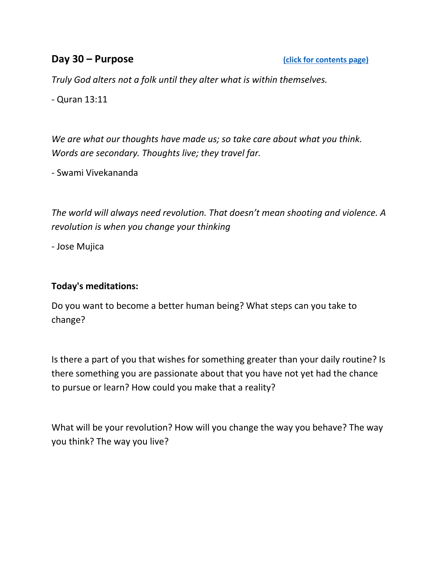# <span id="page-30-0"></span>**Day 30 – Purpose** *Click for contents page*

*Truly God alters not a folk until they alter what is within themselves.* 

*-* Quran 13:11

*We are what our thoughts have made us; so take care about what you think. Words are secondary. Thoughts live; they travel far.* 

*-* Swami Vivekananda

*The world will always need revolution. That doesn't mean shooting and violence. A revolution is when you change your thinking* 

*-* Jose Mujica

### **Today's meditations:**

Do you want to become a better human being? What steps can you take to change?

Is there a part of you that wishes for something greater than your daily routine? Is there something you are passionate about that you have not yet had the chance to pursue or learn? How could you make that a reality?

What will be your revolution? How will you change the way you behave? The way you think? The way you live?